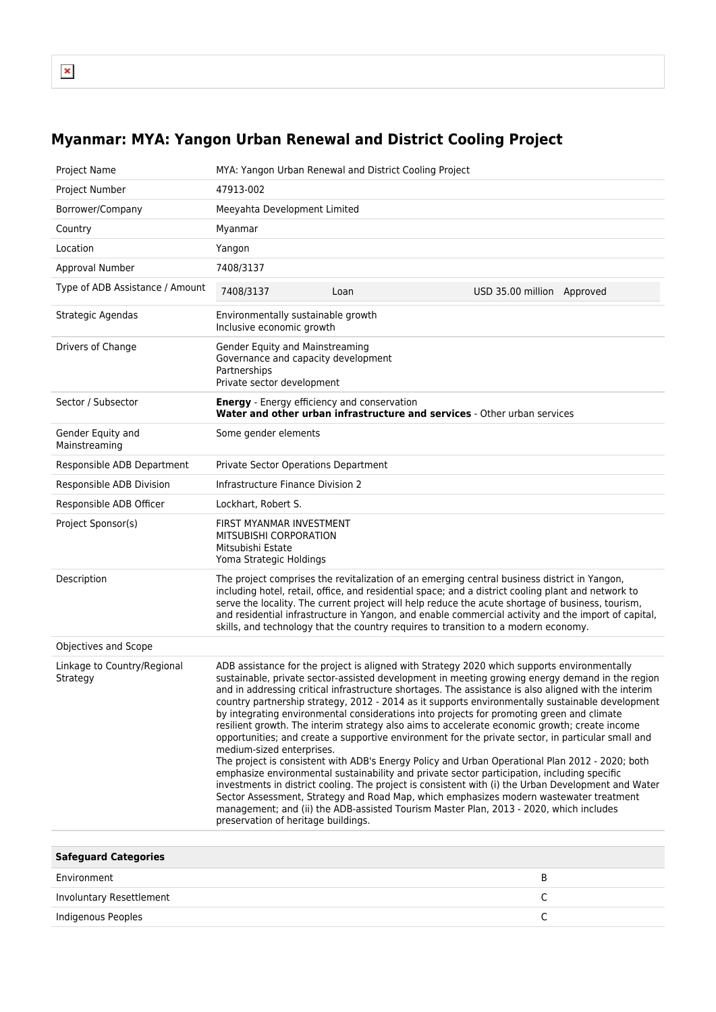## **Myanmar: MYA: Yangon Urban Renewal and District Cooling Project**

| Project Name                            |                                                                                                                      | MYA: Yangon Urban Renewal and District Cooling Project                                                                                                                                                                                                                                                                                                                                                                                                                                                                                                                                                                                                                                                                                                                                                                                                                                                                                                                                                                                                                                                                                                                                                      |                            |  |
|-----------------------------------------|----------------------------------------------------------------------------------------------------------------------|-------------------------------------------------------------------------------------------------------------------------------------------------------------------------------------------------------------------------------------------------------------------------------------------------------------------------------------------------------------------------------------------------------------------------------------------------------------------------------------------------------------------------------------------------------------------------------------------------------------------------------------------------------------------------------------------------------------------------------------------------------------------------------------------------------------------------------------------------------------------------------------------------------------------------------------------------------------------------------------------------------------------------------------------------------------------------------------------------------------------------------------------------------------------------------------------------------------|----------------------------|--|
| Project Number                          | 47913-002                                                                                                            |                                                                                                                                                                                                                                                                                                                                                                                                                                                                                                                                                                                                                                                                                                                                                                                                                                                                                                                                                                                                                                                                                                                                                                                                             |                            |  |
| Borrower/Company                        | Meeyahta Development Limited                                                                                         |                                                                                                                                                                                                                                                                                                                                                                                                                                                                                                                                                                                                                                                                                                                                                                                                                                                                                                                                                                                                                                                                                                                                                                                                             |                            |  |
| Country                                 | Myanmar                                                                                                              |                                                                                                                                                                                                                                                                                                                                                                                                                                                                                                                                                                                                                                                                                                                                                                                                                                                                                                                                                                                                                                                                                                                                                                                                             |                            |  |
| Location                                | Yangon                                                                                                               |                                                                                                                                                                                                                                                                                                                                                                                                                                                                                                                                                                                                                                                                                                                                                                                                                                                                                                                                                                                                                                                                                                                                                                                                             |                            |  |
| Approval Number                         | 7408/3137                                                                                                            |                                                                                                                                                                                                                                                                                                                                                                                                                                                                                                                                                                                                                                                                                                                                                                                                                                                                                                                                                                                                                                                                                                                                                                                                             |                            |  |
| Type of ADB Assistance / Amount         | 7408/3137                                                                                                            | Loan                                                                                                                                                                                                                                                                                                                                                                                                                                                                                                                                                                                                                                                                                                                                                                                                                                                                                                                                                                                                                                                                                                                                                                                                        | USD 35.00 million Approved |  |
| Strategic Agendas                       | Environmentally sustainable growth<br>Inclusive economic growth                                                      |                                                                                                                                                                                                                                                                                                                                                                                                                                                                                                                                                                                                                                                                                                                                                                                                                                                                                                                                                                                                                                                                                                                                                                                                             |                            |  |
| Drivers of Change                       | Gender Equity and Mainstreaming<br>Governance and capacity development<br>Partnerships<br>Private sector development |                                                                                                                                                                                                                                                                                                                                                                                                                                                                                                                                                                                                                                                                                                                                                                                                                                                                                                                                                                                                                                                                                                                                                                                                             |                            |  |
| Sector / Subsector                      | <b>Energy</b> - Energy efficiency and conservation                                                                   | Water and other urban infrastructure and services - Other urban services                                                                                                                                                                                                                                                                                                                                                                                                                                                                                                                                                                                                                                                                                                                                                                                                                                                                                                                                                                                                                                                                                                                                    |                            |  |
| Gender Equity and<br>Mainstreaming      | Some gender elements                                                                                                 |                                                                                                                                                                                                                                                                                                                                                                                                                                                                                                                                                                                                                                                                                                                                                                                                                                                                                                                                                                                                                                                                                                                                                                                                             |                            |  |
| Responsible ADB Department              | Private Sector Operations Department                                                                                 |                                                                                                                                                                                                                                                                                                                                                                                                                                                                                                                                                                                                                                                                                                                                                                                                                                                                                                                                                                                                                                                                                                                                                                                                             |                            |  |
| Responsible ADB Division                | Infrastructure Finance Division 2                                                                                    |                                                                                                                                                                                                                                                                                                                                                                                                                                                                                                                                                                                                                                                                                                                                                                                                                                                                                                                                                                                                                                                                                                                                                                                                             |                            |  |
| Responsible ADB Officer                 | Lockhart, Robert S.                                                                                                  |                                                                                                                                                                                                                                                                                                                                                                                                                                                                                                                                                                                                                                                                                                                                                                                                                                                                                                                                                                                                                                                                                                                                                                                                             |                            |  |
| Project Sponsor(s)                      | FIRST MYANMAR INVESTMENT<br>MITSUBISHI CORPORATION<br>Mitsubishi Estate<br>Yoma Strategic Holdings                   |                                                                                                                                                                                                                                                                                                                                                                                                                                                                                                                                                                                                                                                                                                                                                                                                                                                                                                                                                                                                                                                                                                                                                                                                             |                            |  |
| Description                             |                                                                                                                      | The project comprises the revitalization of an emerging central business district in Yangon,<br>including hotel, retail, office, and residential space; and a district cooling plant and network to<br>serve the locality. The current project will help reduce the acute shortage of business, tourism,<br>and residential infrastructure in Yangon, and enable commercial activity and the import of capital,<br>skills, and technology that the country requires to transition to a modern economy.                                                                                                                                                                                                                                                                                                                                                                                                                                                                                                                                                                                                                                                                                                      |                            |  |
| Objectives and Scope                    |                                                                                                                      |                                                                                                                                                                                                                                                                                                                                                                                                                                                                                                                                                                                                                                                                                                                                                                                                                                                                                                                                                                                                                                                                                                                                                                                                             |                            |  |
| Linkage to Country/Regional<br>Strategy | medium-sized enterprises.<br>preservation of heritage buildings.                                                     | ADB assistance for the project is aligned with Strategy 2020 which supports environmentally<br>sustainable, private sector-assisted development in meeting growing energy demand in the region<br>and in addressing critical infrastructure shortages. The assistance is also aligned with the interim<br>country partnership strategy, 2012 - 2014 as it supports environmentally sustainable development<br>by integrating environmental considerations into projects for promoting green and climate<br>resilient growth. The interim strategy also aims to accelerate economic growth; create income<br>opportunities; and create a supportive environment for the private sector, in particular small and<br>The project is consistent with ADB's Energy Policy and Urban Operational Plan 2012 - 2020; both<br>emphasize environmental sustainability and private sector participation, including specific<br>investments in district cooling. The project is consistent with (i) the Urban Development and Water<br>Sector Assessment, Strategy and Road Map, which emphasizes modern wastewater treatment<br>management; and (ii) the ADB-assisted Tourism Master Plan, 2013 - 2020, which includes |                            |  |
| Saforward Categories                    |                                                                                                                      |                                                                                                                                                                                                                                                                                                                                                                                                                                                                                                                                                                                                                                                                                                                                                                                                                                                                                                                                                                                                                                                                                                                                                                                                             |                            |  |

| <b>Safeguard Categories</b> |  |
|-----------------------------|--|
| Environment                 |  |
| Involuntary Resettlement    |  |
| Indigenous Peoples          |  |